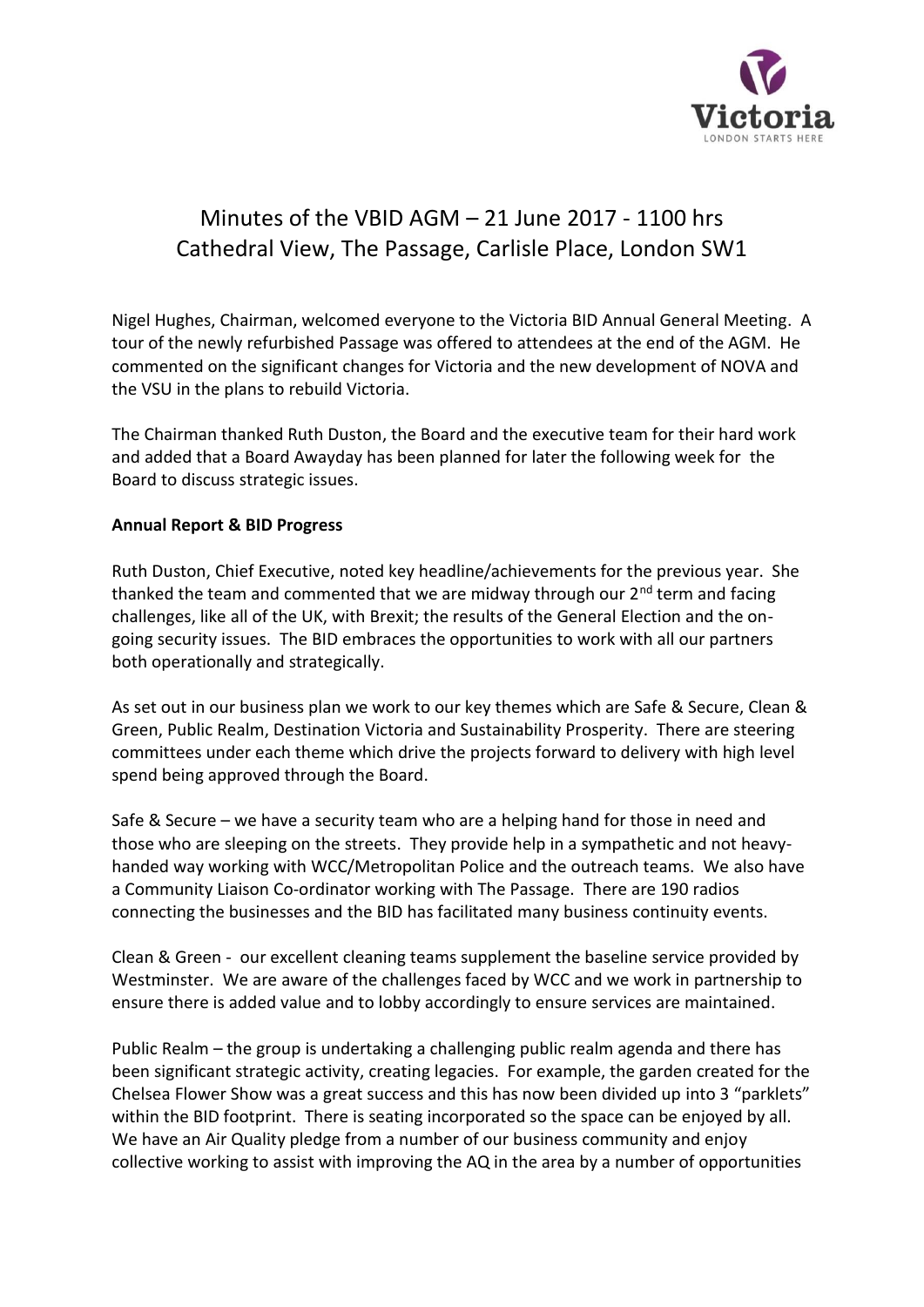

# Minutes of the VBID AGM – 21 June 2017 - 1100 hrs Cathedral View, The Passage, Carlisle Place, London SW1

Nigel Hughes, Chairman, welcomed everyone to the Victoria BID Annual General Meeting. A tour of the newly refurbished Passage was offered to attendees at the end of the AGM. He commented on the significant changes for Victoria and the new development of NOVA and the VSU in the plans to rebuild Victoria.

The Chairman thanked Ruth Duston, the Board and the executive team for their hard work and added that a Board Awayday has been planned for later the following week for the Board to discuss strategic issues.

### **Annual Report & BID Progress**

Ruth Duston, Chief Executive, noted key headline/achievements for the previous year. She thanked the team and commented that we are midway through our  $2<sup>nd</sup>$  term and facing challenges, like all of the UK, with Brexit; the results of the General Election and the ongoing security issues. The BID embraces the opportunities to work with all our partners both operationally and strategically.

As set out in our business plan we work to our key themes which are Safe & Secure, Clean & Green, Public Realm, Destination Victoria and Sustainability Prosperity. There are steering committees under each theme which drive the projects forward to delivery with high level spend being approved through the Board.

Safe & Secure – we have a security team who are a helping hand for those in need and those who are sleeping on the streets. They provide help in a sympathetic and not heavyhanded way working with WCC/Metropolitan Police and the outreach teams. We also have a Community Liaison Co-ordinator working with The Passage. There are 190 radios connecting the businesses and the BID has facilitated many business continuity events.

Clean & Green - our excellent cleaning teams supplement the baseline service provided by Westminster. We are aware of the challenges faced by WCC and we work in partnership to ensure there is added value and to lobby accordingly to ensure services are maintained.

Public Realm – the group is undertaking a challenging public realm agenda and there has been significant strategic activity, creating legacies. For example, the garden created for the Chelsea Flower Show was a great success and this has now been divided up into 3 "parklets" within the BID footprint. There is seating incorporated so the space can be enjoyed by all. We have an Air Quality pledge from a number of our business community and enjoy collective working to assist with improving the AQ in the area by a number of opportunities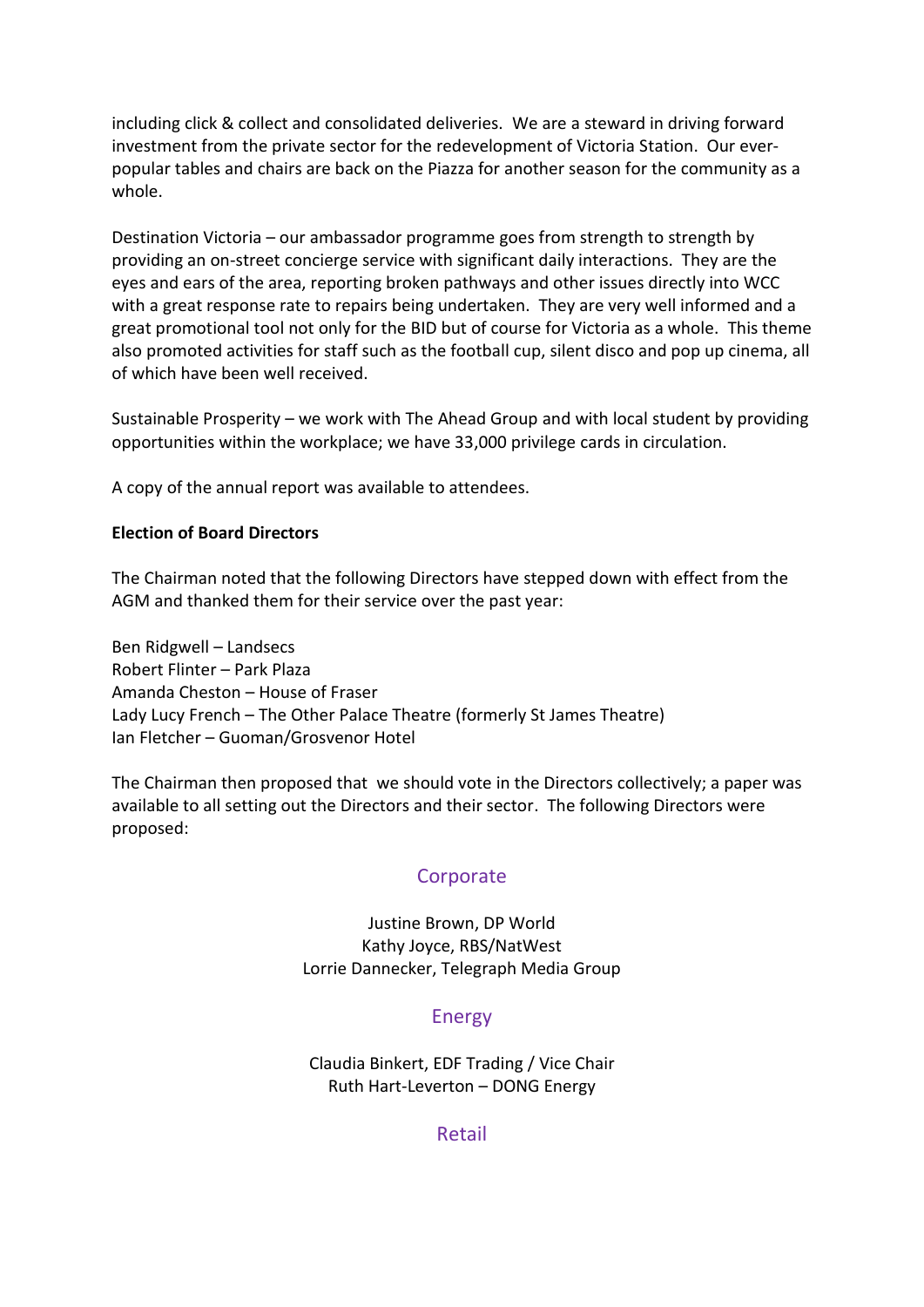including click & collect and consolidated deliveries. We are a steward in driving forward investment from the private sector for the redevelopment of Victoria Station. Our everpopular tables and chairs are back on the Piazza for another season for the community as a whole.

Destination Victoria – our ambassador programme goes from strength to strength by providing an on-street concierge service with significant daily interactions. They are the eyes and ears of the area, reporting broken pathways and other issues directly into WCC with a great response rate to repairs being undertaken. They are very well informed and a great promotional tool not only for the BID but of course for Victoria as a whole. This theme also promoted activities for staff such as the football cup, silent disco and pop up cinema, all of which have been well received.

Sustainable Prosperity – we work with The Ahead Group and with local student by providing opportunities within the workplace; we have 33,000 privilege cards in circulation.

A copy of the annual report was available to attendees.

#### **Election of Board Directors**

The Chairman noted that the following Directors have stepped down with effect from the AGM and thanked them for their service over the past year:

Ben Ridgwell – Landsecs Robert Flinter – Park Plaza Amanda Cheston – House of Fraser Lady Lucy French – The Other Palace Theatre (formerly St James Theatre) Ian Fletcher – Guoman/Grosvenor Hotel

The Chairman then proposed that we should vote in the Directors collectively; a paper was available to all setting out the Directors and their sector. The following Directors were proposed:

#### **Corporate**

Justine Brown, DP World Kathy Joyce, RBS/NatWest Lorrie Dannecker, Telegraph Media Group

### Energy

Claudia Binkert, EDF Trading / Vice Chair Ruth Hart-Leverton – DONG Energy

Retail